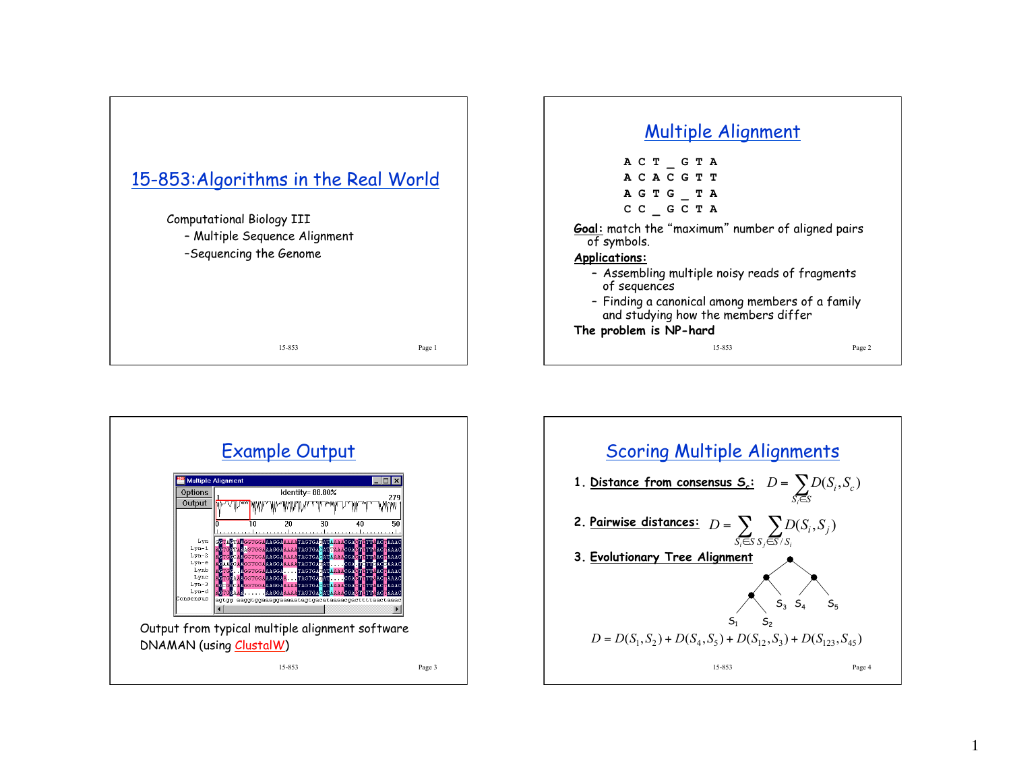





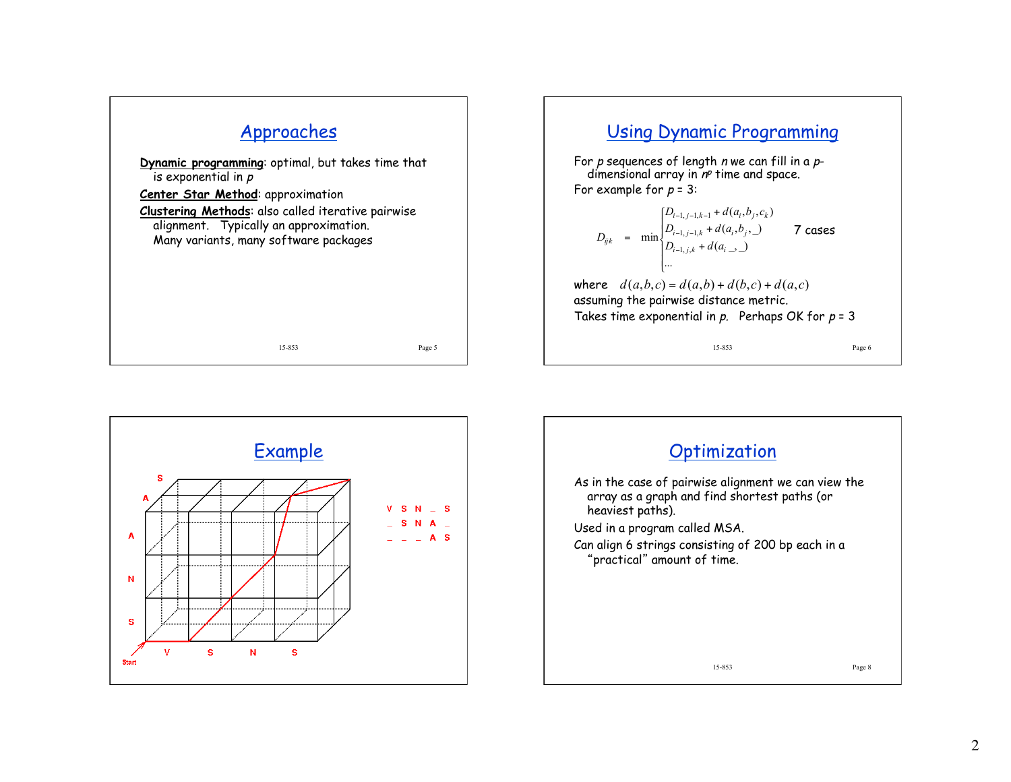

## Using Dynamic Programming

For p sequences of length n we can fill in a pdimensional array in  $n^p$  time and space. For example for  $p = 3$ :

$$
D_{ijk} = \min \begin{cases} D_{i-1,j-1,k-1} + d(a_i, b_j, c_k) \\ D_{i-1,j-1,k} + d(a_i, b_j, c) \\ D_{i-1,j,k} + d(a_i, c) \\ \dots \\ \text{where} \quad d(a, b, c) = d(a, b) + d(b, c) + d(a, c) \\ \text{assuming the pairwise distance metric.} \end{cases}
$$
  
Take time exponential in p. Perhaps OK for  $p = 3$ 



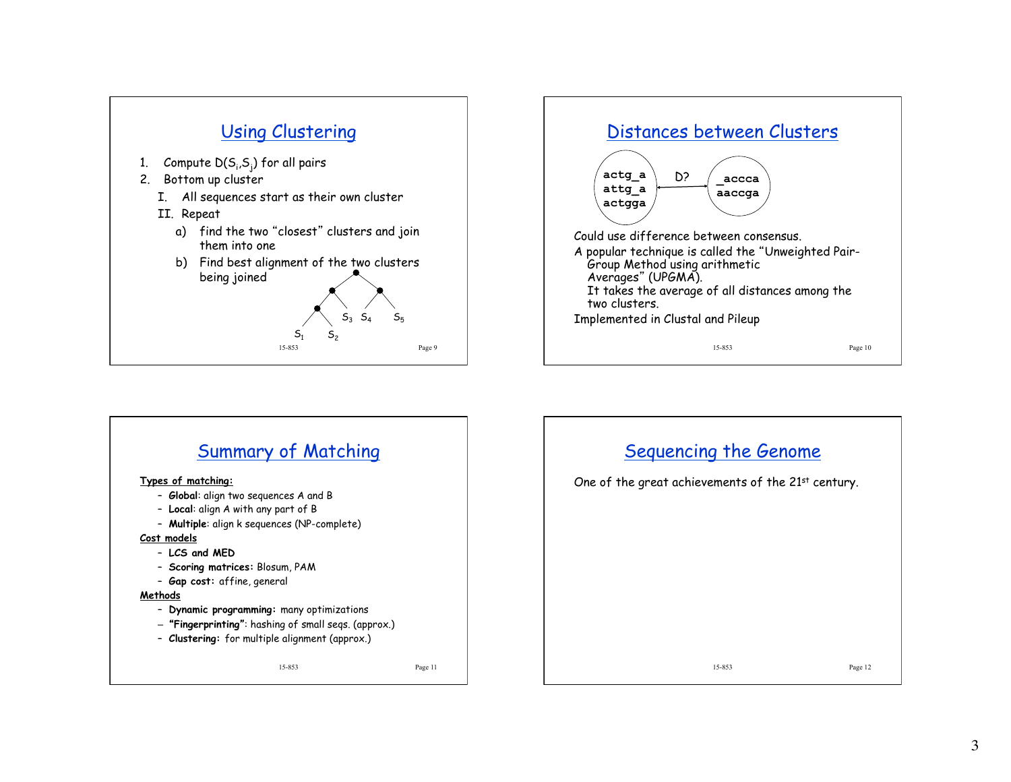



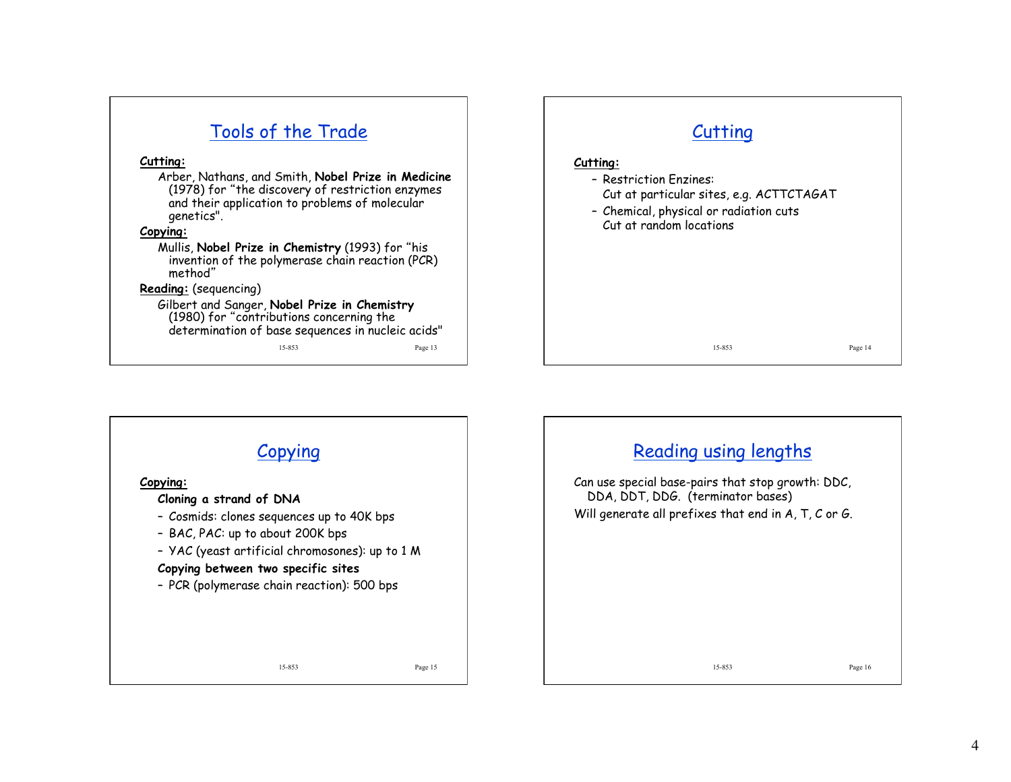| Tools of the Trade                                                                                                                                                                                                                                                                                                | Cutting                                                                                                                                             |
|-------------------------------------------------------------------------------------------------------------------------------------------------------------------------------------------------------------------------------------------------------------------------------------------------------------------|-----------------------------------------------------------------------------------------------------------------------------------------------------|
| Cutting:<br>Arber, Nathans, and Smith, Nobel Prize in Medicine<br>(1978) for "the discovery of restriction enzymes<br>and their application to problems of molecular<br>genetics".<br>Copying:<br>Mullis, Nobel Prize in Chemistry (1993) for "his<br>invention of the polymerase chain reaction (PCR)<br>method" | Cutting:<br>- Restriction Enzines:<br>Cut at particular sites, e.g. ACTTCTAGAT<br>- Chemical, physical or radiation cuts<br>Cut at random locations |
| Reading: (sequencing)<br>Gilbert and Sanger, Nobel Prize in Chemistry                                                                                                                                                                                                                                             |                                                                                                                                                     |
| (1980) for "contributions concerning the<br>determination of base sequences in nucleic acids"                                                                                                                                                                                                                     |                                                                                                                                                     |
| 15-853<br>Page 13                                                                                                                                                                                                                                                                                                 | 15-853<br>Page 14                                                                                                                                   |

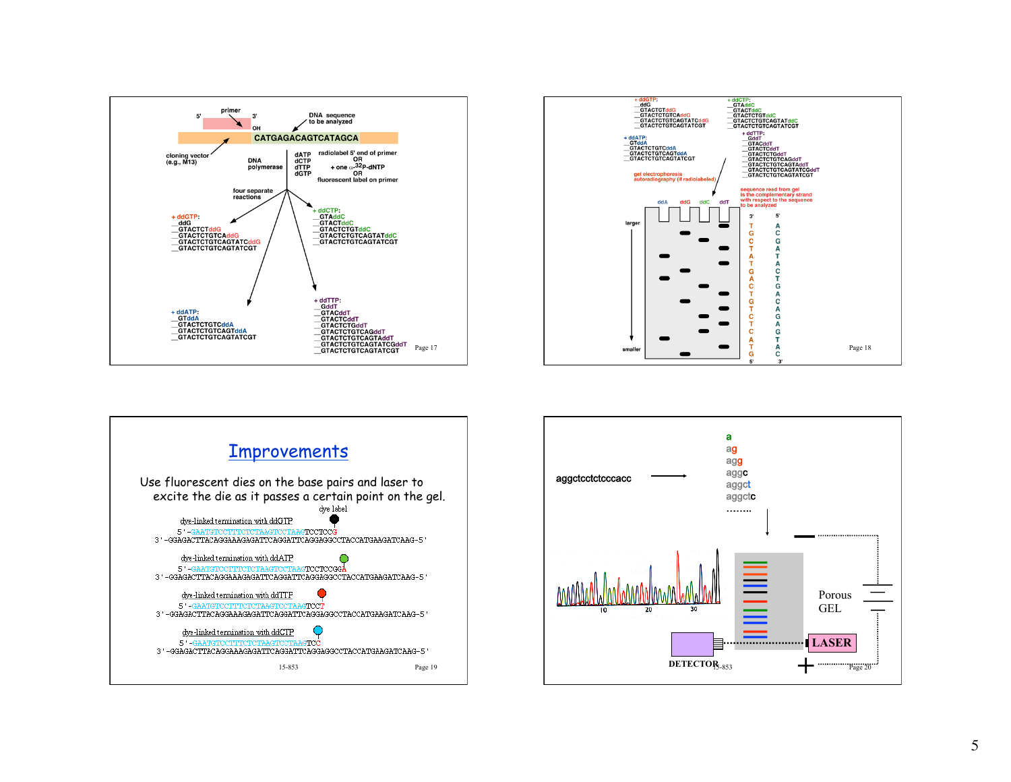





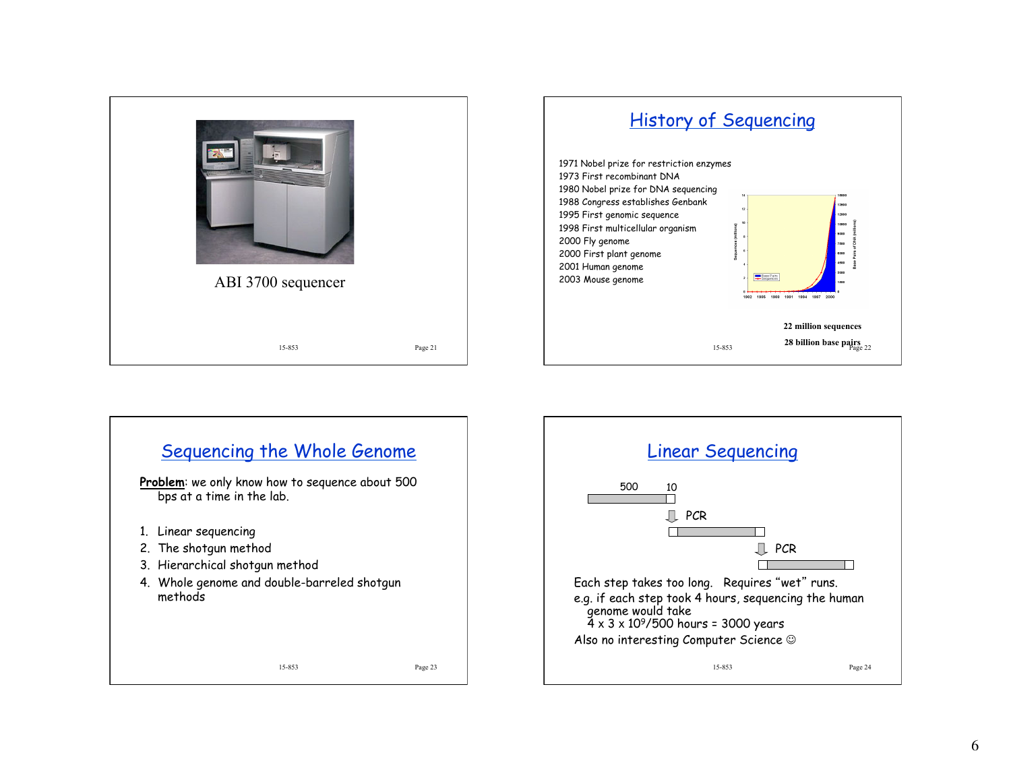

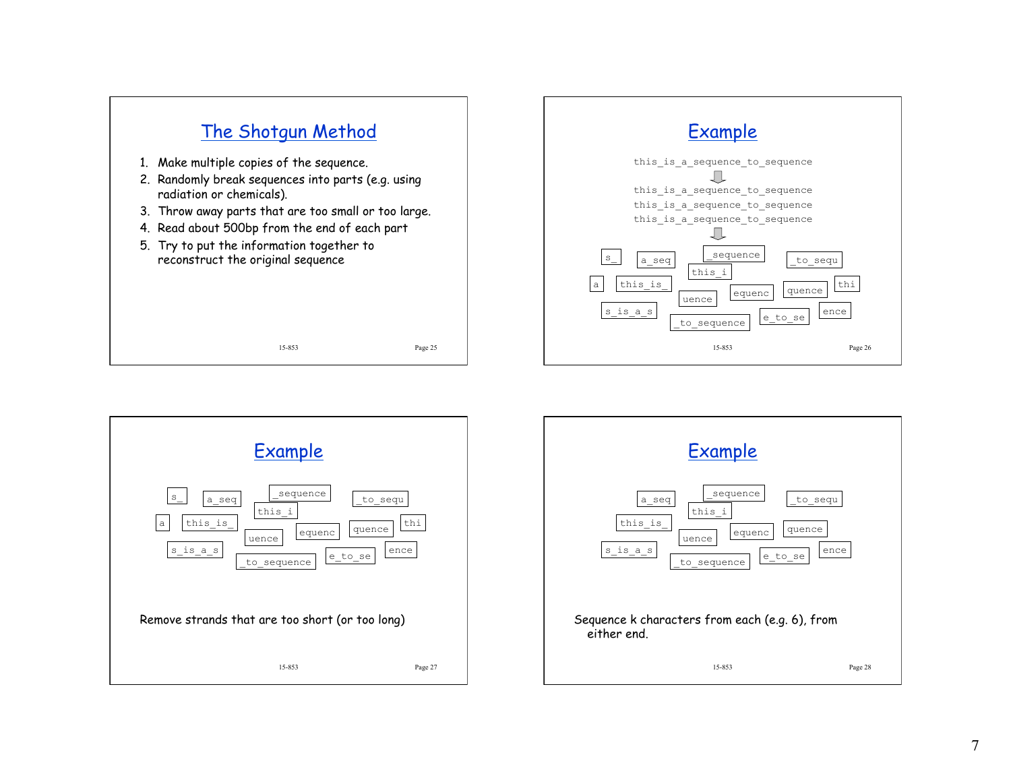



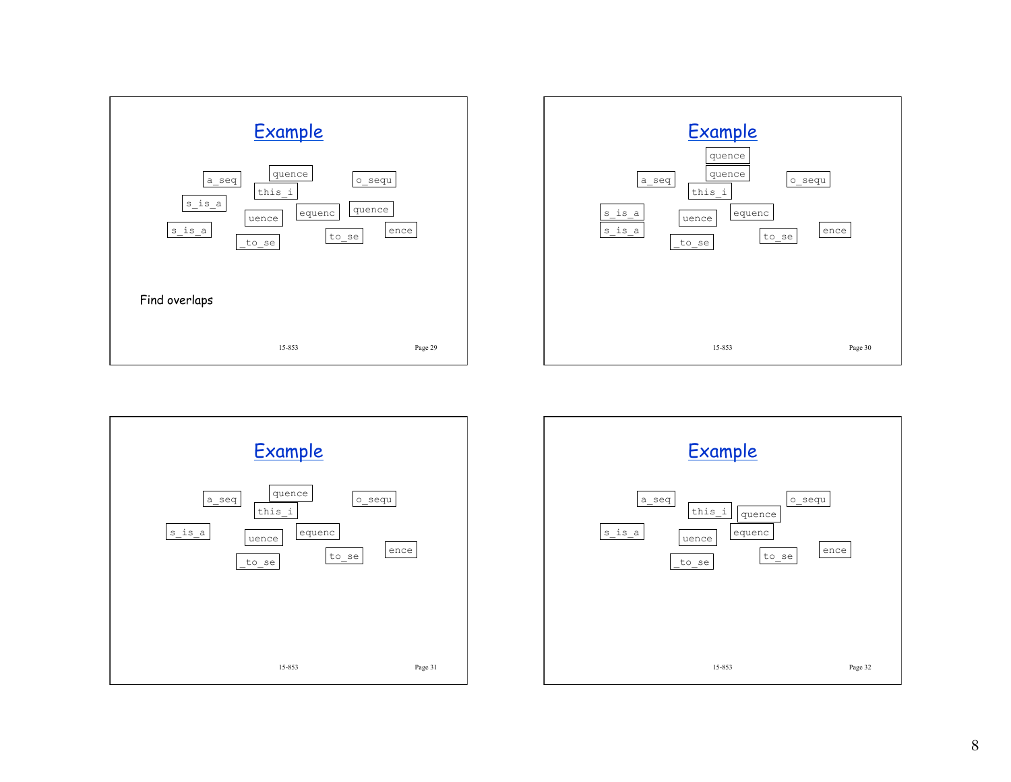





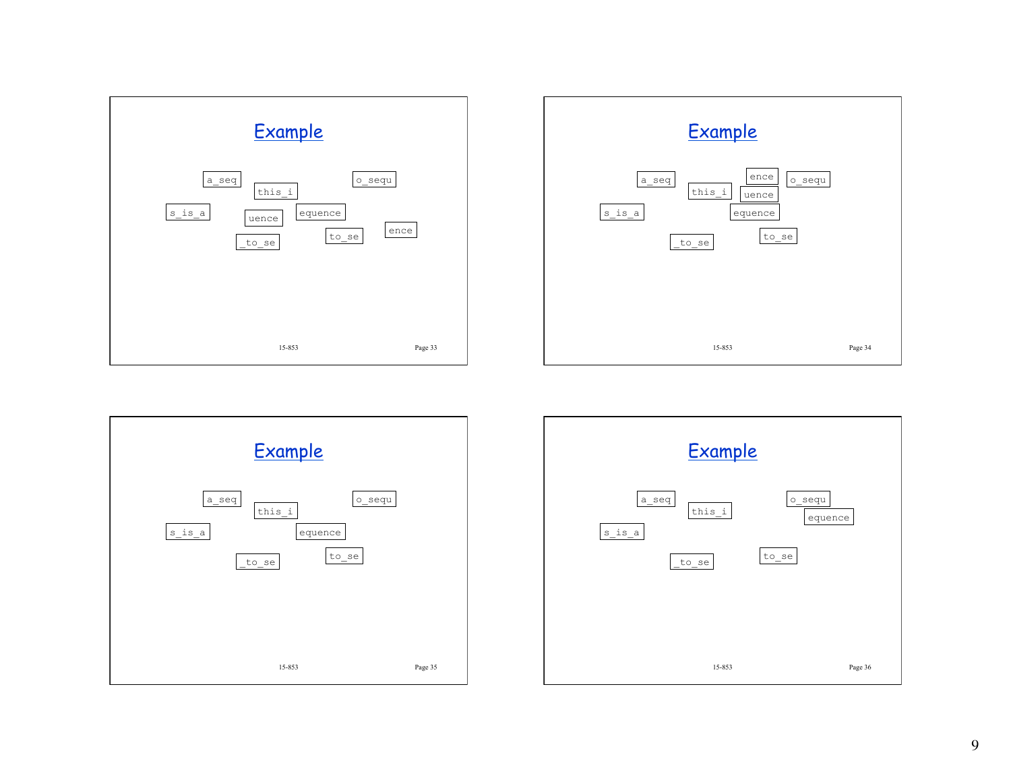





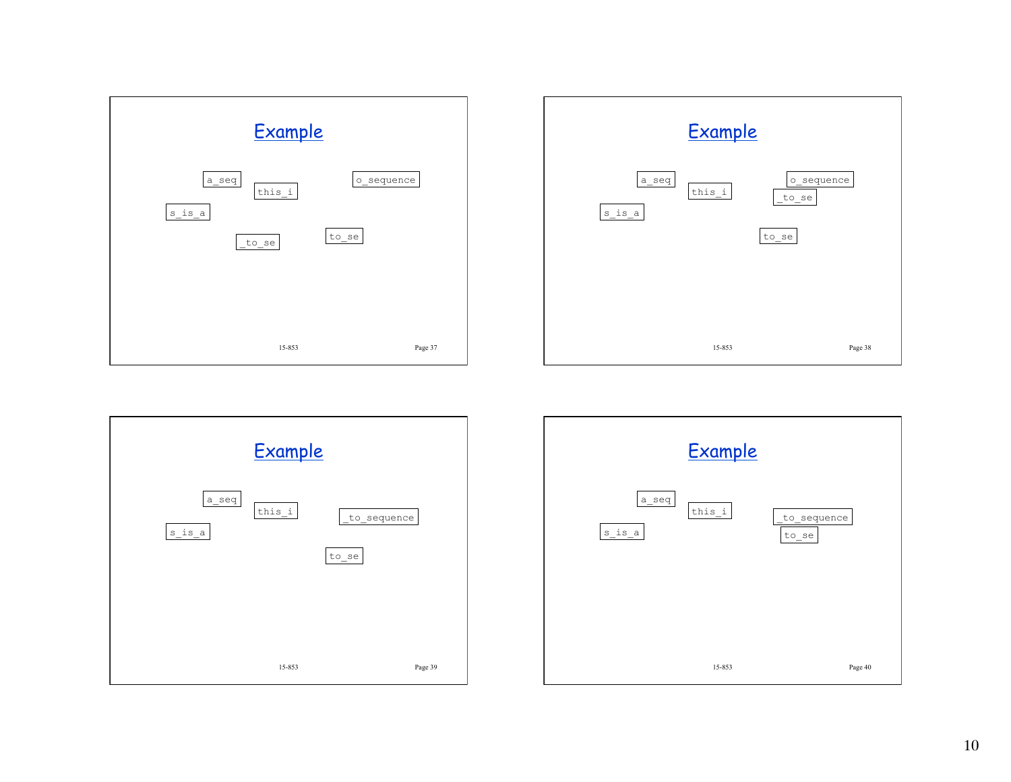





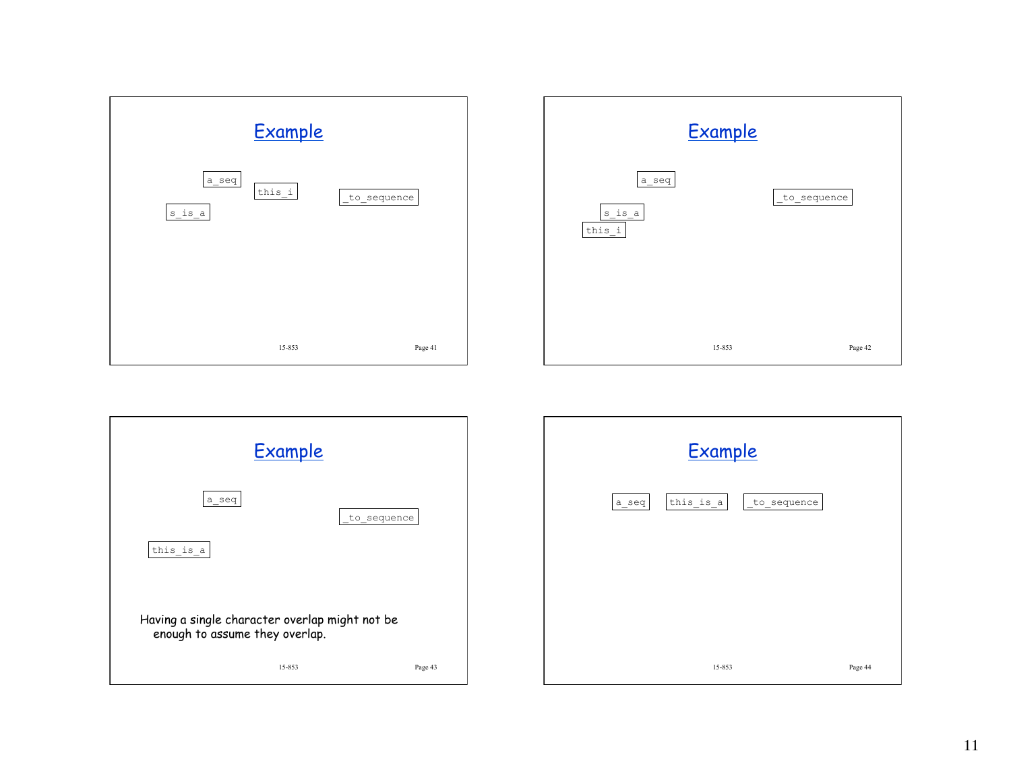





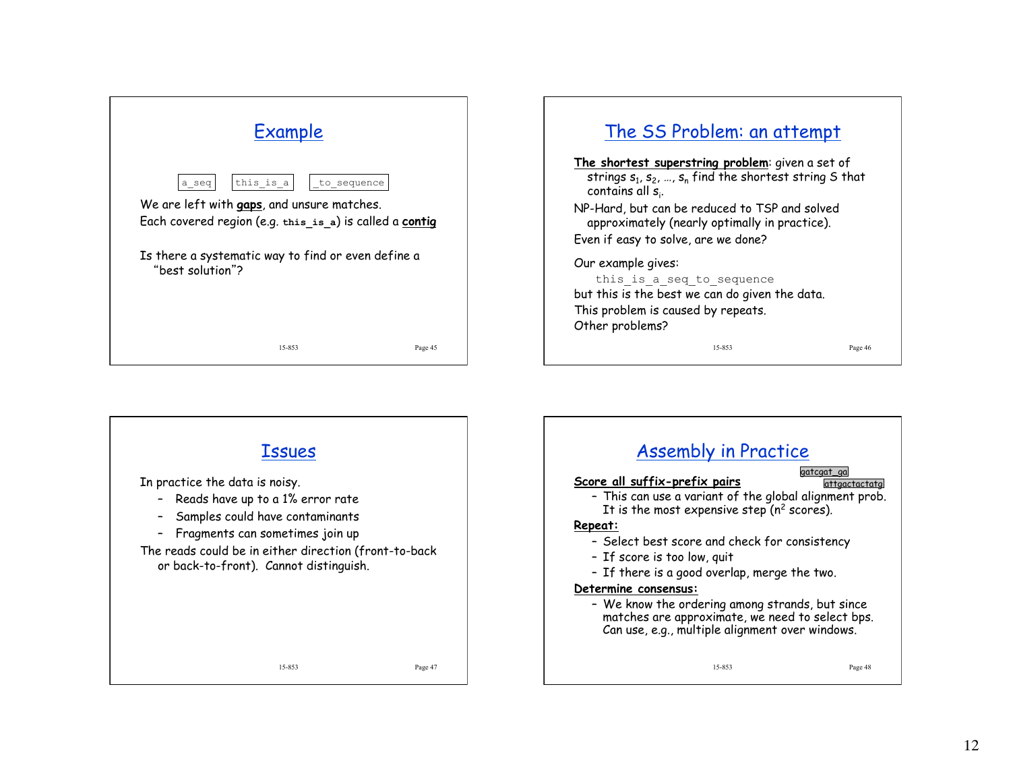| <b>Example</b>                                                                                                                                                                                     |         |  |
|----------------------------------------------------------------------------------------------------------------------------------------------------------------------------------------------------|---------|--|
| this is $a$<br>to sequence<br>a seq<br>We are left with gaps, and unsure matches.<br>Each covered region (e.g. this is a) is called a contig<br>Is there a systematic way to find or even define a |         |  |
| "best solution"?<br>15-853                                                                                                                                                                         | Page 45 |  |



Our example gives:

this is a seq to sequence but this is the best we can do given the data. This problem is caused by repeats. Other problems?

15-853 Page 46

15-853 Page 47 Issues In practice the data is noisy. – Reads have up to a 1% error rate – Samples could have contaminants – Fragments can sometimes join up The reads could be in either direction (front-to-back or back-to-front). Cannot distinguish. 15-853 Page 48 Assembly in Practice **Score all suffix-prefix pairs**  – This can use a variant of the global alignment prob. It is the most expensive step  $(n^2 \text{ scores})$ . **Repeat:**  – Select best score and check for consistency – If score is too low, quit – If there is a good overlap, merge the two. **Determine consensus:**  – We know the ordering among strands, but since matches are approximate, we need to select bps. Can use, e.g., multiple alignment over windows. gatcgat\_ga attgactactatg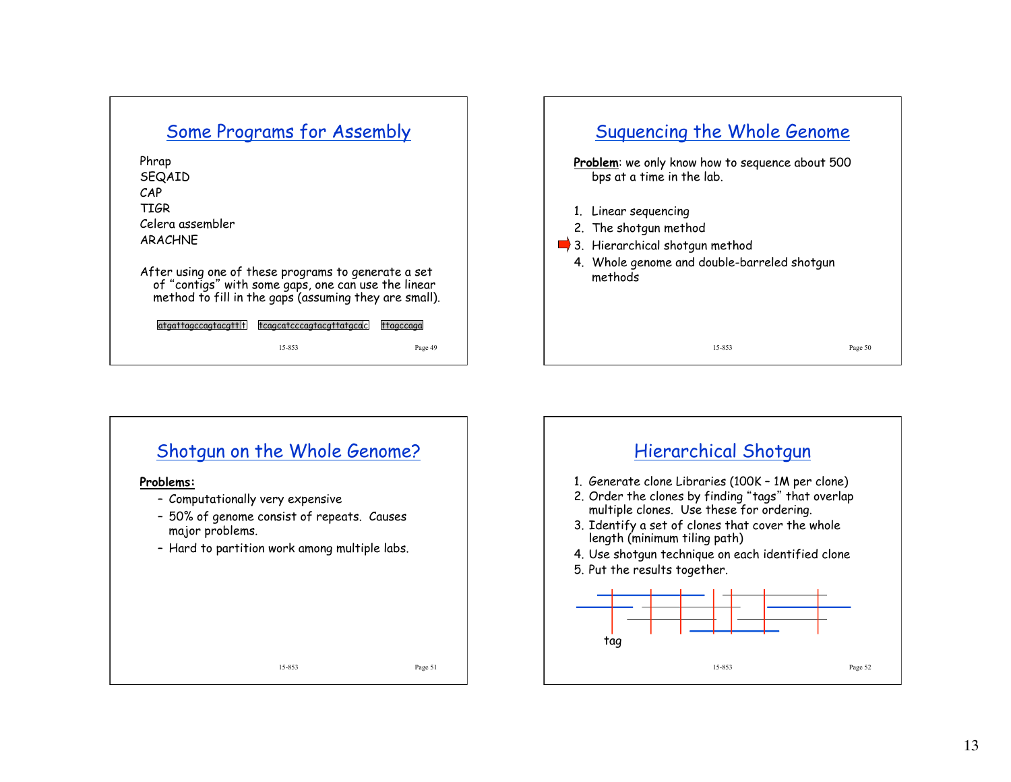## Some Programs for Assembly

Phrap SEQAID CAP TIGR Celera assembler ARACHNE

After using one of these programs to generate a set of "contigs" with some gaps, one can use the linear method to fill in the gaps (assuming they are small).

15-853 Page 49 atgattagccagtacgtt t tcagcatcccagtacgttatgcac ttagccaga





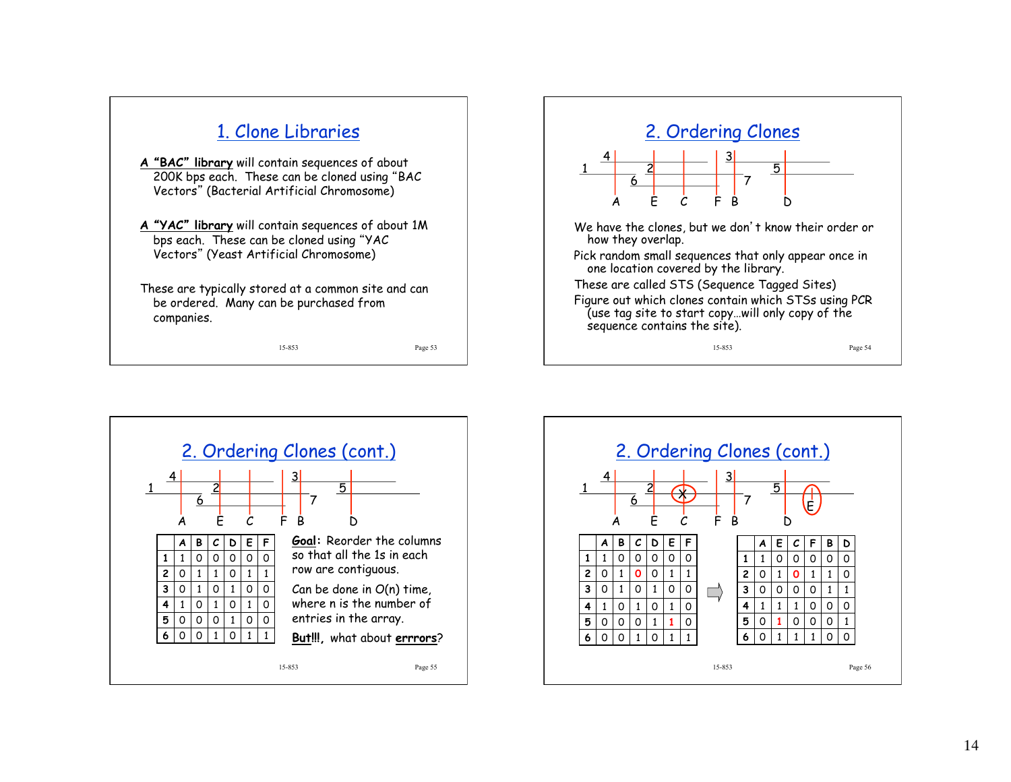



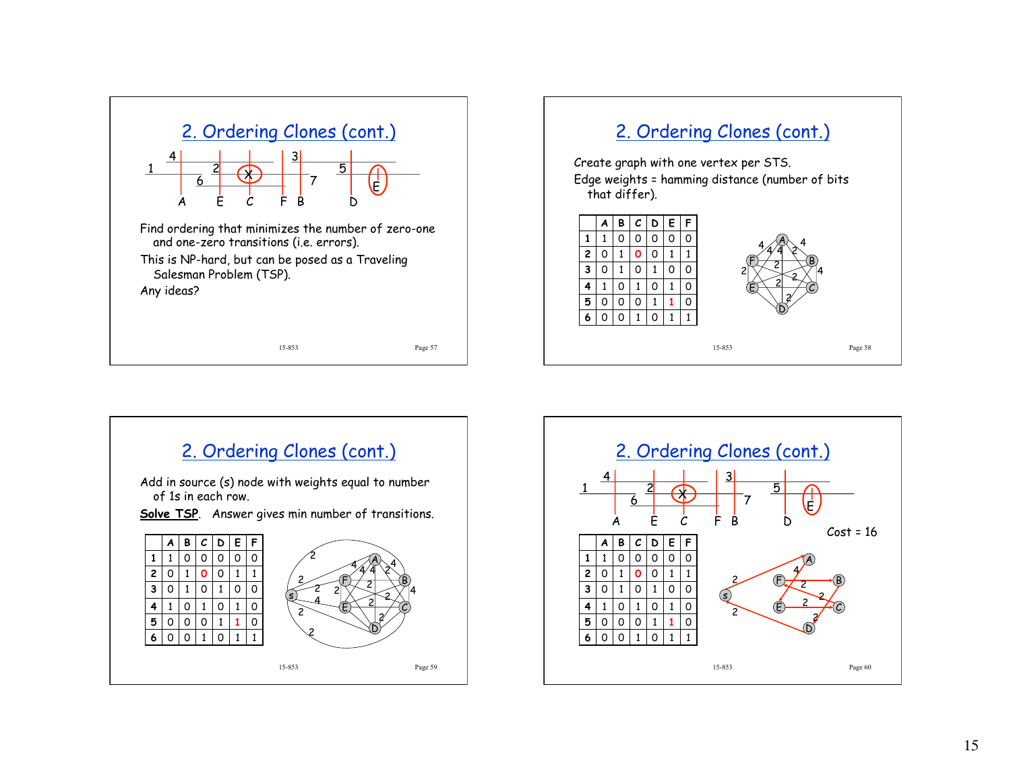